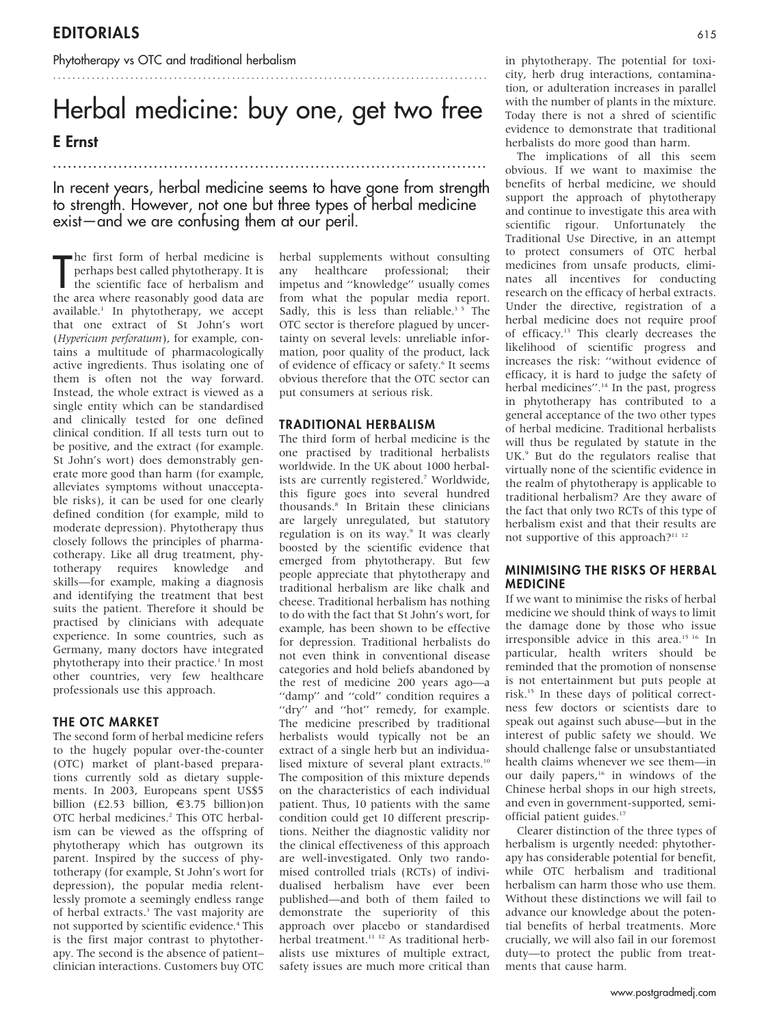Phytotherapy vs OTC and traditional herbalism

# Herbal medicine: buy one, get two free

# E Ernst

............................................................... .......................

In recent years, herbal medicine seems to have gone from strength to strength. However, not one but three types of herbal medicine  $exist$  and we are confusing them at our peril.

The first form of herbal medicine is<br>perhaps best called phytotherapy. It is<br>the scientific face of herbalism and<br>the area where reasonably good data are **h**e first form of herbal medicine is perhaps best called phytotherapy. It is the scientific face of herbalism and available.<sup>1</sup> In phytotherapy, we accept that one extract of St John's wort (Hypericum perforatum), for example, contains a multitude of pharmacologically active ingredients. Thus isolating one of them is often not the way forward. Instead, the whole extract is viewed as a single entity which can be standardised and clinically tested for one defined clinical condition. If all tests turn out to be positive, and the extract (for example. St John's wort) does demonstrably generate more good than harm (for example, alleviates symptoms without unacceptable risks), it can be used for one clearly defined condition (for example, mild to moderate depression). Phytotherapy thus closely follows the principles of pharmacotherapy. Like all drug treatment, phytotherapy requires knowledge and skills—for example, making a diagnosis and identifying the treatment that best suits the patient. Therefore it should be practised by clinicians with adequate experience. In some countries, such as Germany, many doctors have integrated phytotherapy into their practice.<sup>1</sup> In most other countries, very few healthcare professionals use this approach.

## THE OTC MARKET

The second form of herbal medicine refers to the hugely popular over-the-counter (OTC) market of plant-based preparations currently sold as dietary supplements. In 2003, Europeans spent US\$5 billion (£2.53 billion,  $\epsilon$ 3.75 billion)on OTC herbal medicines.2 This OTC herbalism can be viewed as the offspring of phytotherapy which has outgrown its parent. Inspired by the success of phytotherapy (for example, St John's wort for depression), the popular media relentlessly promote a seemingly endless range of herbal extracts.<sup>3</sup> The vast majority are not supported by scientific evidence.<sup>4</sup> This is the first major contrast to phytotherapy. The second is the absence of patient– clinician interactions. Customers buy OTC herbal supplements without consulting any healthcare professional; their impetus and ''knowledge'' usually comes from what the popular media report. Sadly, this is less than reliable.<sup>35</sup> The OTC sector is therefore plagued by uncertainty on several levels: unreliable information, poor quality of the product, lack of evidence of efficacy or safety.<sup>6</sup> It seems obvious therefore that the OTC sector can put consumers at serious risk.

............................................................... ...........................

### TRADITIONAL HERBALISM

The third form of herbal medicine is the one practised by traditional herbalists worldwide. In the UK about 1000 herbalists are currently registered.<sup>7</sup> Worldwide, this figure goes into several hundred thousands.8 In Britain these clinicians are largely unregulated, but statutory regulation is on its way.<sup>9</sup> It was clearly boosted by the scientific evidence that emerged from phytotherapy. But few people appreciate that phytotherapy and traditional herbalism are like chalk and cheese. Traditional herbalism has nothing to do with the fact that St John's wort, for example, has been shown to be effective for depression. Traditional herbalists do not even think in conventional disease categories and hold beliefs abandoned by the rest of medicine 200 years ago—a "damp" and "cold" condition requires a "dry" and "hot" remedy, for example. The medicine prescribed by traditional herbalists would typically not be an extract of a single herb but an individualised mixture of several plant extracts.<sup>10</sup> The composition of this mixture depends on the characteristics of each individual patient. Thus, 10 patients with the same condition could get 10 different prescriptions. Neither the diagnostic validity nor the clinical effectiveness of this approach are well-investigated. Only two randomised controlled trials (RCTs) of individualised herbalism have ever been published—and both of them failed to demonstrate the superiority of this approach over placebo or standardised herbal treatment.<sup>11-12</sup> As traditional herbalists use mixtures of multiple extract, safety issues are much more critical than

in phytotherapy. The potential for toxicity, herb drug interactions, contamination, or adulteration increases in parallel with the number of plants in the mixture. Today there is not a shred of scientific evidence to demonstrate that traditional herbalists do more good than harm.

The implications of all this seem obvious. If we want to maximise the benefits of herbal medicine, we should support the approach of phytotherapy and continue to investigate this area with scientific rigour. Unfortunately the Traditional Use Directive, in an attempt to protect consumers of OTC herbal medicines from unsafe products, eliminates all incentives for conducting research on the efficacy of herbal extracts. Under the directive, registration of a herbal medicine does not require proof of efficacy.13 This clearly decreases the likelihood of scientific progress and increases the risk: ''without evidence of efficacy, it is hard to judge the safety of herbal medicines".<sup>14</sup> In the past, progress in phytotherapy has contributed to a general acceptance of the two other types of herbal medicine. Traditional herbalists will thus be regulated by statute in the UK.<sup>9</sup> But do the regulators realise that virtually none of the scientific evidence in the realm of phytotherapy is applicable to traditional herbalism? Are they aware of the fact that only two RCTs of this type of herbalism exist and that their results are not supportive of this approach?<sup>11-12</sup>

## MINIMISING THE RISKS OF HERBAL MEDICINE

If we want to minimise the risks of herbal medicine we should think of ways to limit the damage done by those who issue irresponsible advice in this area.<sup>15 16</sup> In particular, health writers should be reminded that the promotion of nonsense is not entertainment but puts people at risk.15 In these days of political correctness few doctors or scientists dare to speak out against such abuse—but in the interest of public safety we should. We should challenge false or unsubstantiated health claims whenever we see them—in our daily papers, $16$  in windows of the Chinese herbal shops in our high streets, and even in government-supported, semiofficial patient guides.17

Clearer distinction of the three types of herbalism is urgently needed: phytotherapy has considerable potential for benefit, while OTC herbalism and traditional herbalism can harm those who use them. Without these distinctions we will fail to advance our knowledge about the potential benefits of herbal treatments. More crucially, we will also fail in our foremost duty—to protect the public from treatments that cause harm.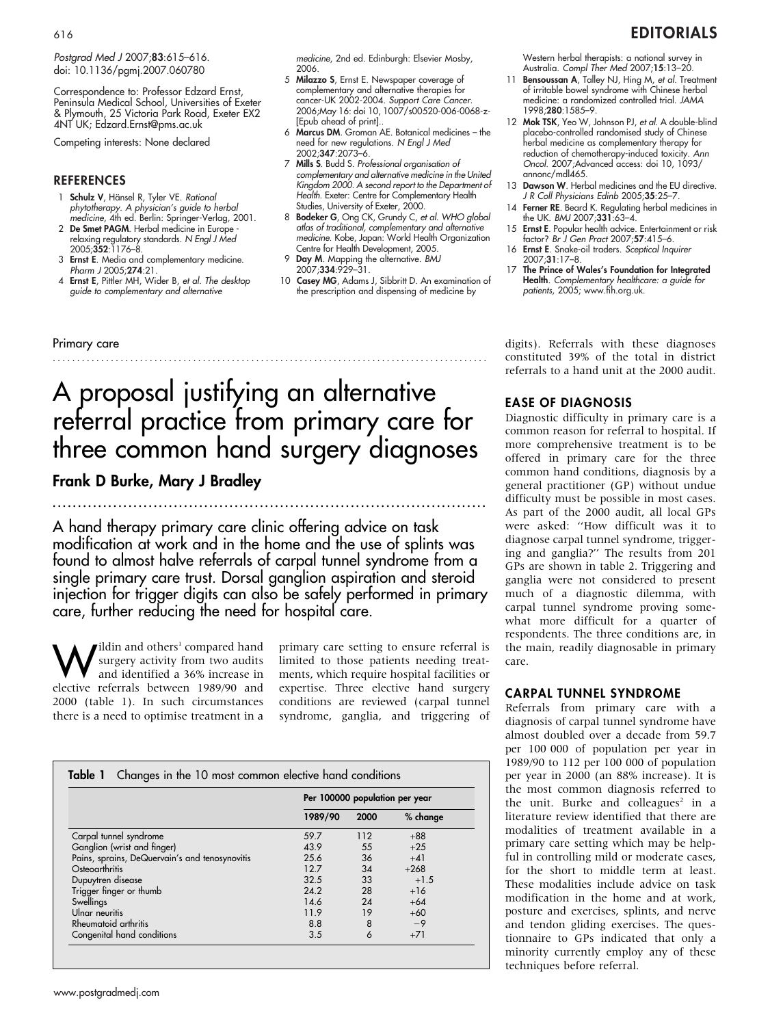Postgrad Med J 2007;83:615-616. doi: 10.1136/pgmj.2007.060780

Correspondence to: Professor Edzard Ernst, Peninsula Medical School, Universities of Exeter & Plymouth, 25 Victoria Park Road, Exeter EX2 4NT UK; Edzard.Ernst@pms.ac.uk

Competing interests: None declared

#### REFERENCES

- 1 Schulz V, Hänsel R, Tyler VE. Rational phytotherapy. A physician's guide to herbal medicine, 4th ed. Berlin: Springer-Verlag, 2001.
- 2 De Smet PAGM. Herbal medicine in Europe relaxing regulatory standards. N Engl J Med 2005;352:1176–8.
- 3 Ernst E. Media and complementary medicine. Pharm J 2005;274:21.
- 4 Ernst E, Pittler MH, Wider B, et al. The desktop guide to complementary and alternative

medicine, 2nd ed. Edinburgh: Elsevier Mosby, 2006.

- 5 Milazzo S, Ernst E. Newspaper coverage of complementary and alternative therapies for cancer-UK 2002-2004. Support Care Cancer. 2006;May 16: doi 10, 1007/s00520-006-0068-z- [Epub ahead of print]..
- 6 Marcus DM. Groman AE. Botanical medicines the need for new regulations. N Engl J Med 2002;347:2073–6.
- 7 Mills S. Budd S. Professional organisation of complementary and alternative medicine in the United Kingdom 2000. A second report to the Department of Health. Exeter: Centre for Complementary Health Studies, University of Exeter, 2000.
- 8 Bodeker G, Ong CK, Grundy C, et al. WHO global atlas of traditional, complementary and alternative medicine. Kobe, Japan: World Health Organization Centre for Health Development, 2005.
- 9 Day M. Mapping the alternative. BMJ 2007;334:929–31.
- 10 Casey MG, Adams J, Sibbritt D. An examination of the prescription and dispensing of medicine by

Western herbal therapists: a national survey in Australia. Compl Ther Med 2007;15:13–20.

- 11 Bensoussan A, Talley NJ, Hing M, et al. Treatment of irritable bowel syndrome with Chinese herbal medicine: a randomized controlled trial. JAMA 1998;280:1585–9.
- 12 Mok TSK, Yeo W, Johnson PJ, et al. A double-blind placebo-controlled randomised study of Chinese herbal medicine as complementary therapy for reduction of chemotherapy-induced toxicity. Ann Oncol. 2007;Advanced access: doi 10, 1093/ annonc/mdl465.
- 13 **Dawson W**. Herbal medicines and the EU directive. J R Coll Physicians Edinb 2005;35:25-7.
- 14 Ferner RE. Beard K. Regulating herbal medicines in the UK. BMJ 2007;331:63–4.
- 15 Ernst E. Popular health advice. Entertainment or risk factor? Br J Gen Pract 2007;57:415–6.
- 16 Ernst E. Snake-oil traders. Sceptical Inquirer 2007;31:17–8.
- 17 The Prince of Wales's Foundation for Integrated **Health**. Complementary healthcare: a guide tor<br>patients, 2005; www.fih.org.uk.

digits). Referrals with these diagnoses constituted 39% of the total in district referrals to a hand unit at the 2000 audit.

Primary care

# ............................................................... ...........................

# A proposal justifying an alternative referral practice from primary care for three common hand surgery diagnoses

# Frank D Burke, Mary J Bradley

A hand therapy primary care clinic offering advice on task modification at work and in the home and the use of splints was found to almost halve referrals of carpal tunnel syndrome from a single primary care trust. Dorsal ganglion aspiration and steroid injection for trigger digits can also be safely performed in primary care, further reducing the need for hospital care.

............................................................... .......................

**W**ildin and others<sup>1</sup> compared hand<br>and identified a 36% increase in<br>closive referrels between 1980/00 and surgery activity from two audits and identified a 36% increase in elective referrals between 1989/90 and 2000 (table 1). In such circumstances there is a need to optimise treatment in a

primary care setting to ensure referral is limited to those patients needing treatments, which require hospital facilities or expertise. Three elective hand surgery conditions are reviewed (carpal tunnel syndrome, ganglia, and triggering of

|                                                | Per 100000 population per year |      |            |  |
|------------------------------------------------|--------------------------------|------|------------|--|
|                                                | 1989/90                        | 2000 | $%$ change |  |
| Carpal tunnel syndrome                         | 59.7                           | 112  | $+88$      |  |
| Ganglion (wrist and finger)                    | 43.9                           | 55   | $+2.5$     |  |
| Pains, sprains, DeQuervain's and tenosynovitis | 25.6                           | 36   | $+41$      |  |
| Osteoarthritis                                 | 127                            | 34   | $+268$     |  |
| Dupuytren disease                              | 32.5                           | 33   | $+1.5$     |  |
| Trigger finger or thumb                        | 24.2                           | 28   | $+16$      |  |
| Swellings                                      | 14.6                           | 24   | $+64$      |  |
| Ulnar neuritis                                 | 11.9                           | 19   | $+60$      |  |
| Rheumatoid arthritis                           | 8.8                            | 8    | $-9$       |  |
| Congenital hand conditions                     | 3.5                            | 6    | $+71$      |  |

## EASE OF DIAGNOSIS

Diagnostic difficulty in primary care is a common reason for referral to hospital. If more comprehensive treatment is to be offered in primary care for the three common hand conditions, diagnosis by a general practitioner (GP) without undue difficulty must be possible in most cases. As part of the 2000 audit, all local GPs were asked: ''How difficult was it to diagnose carpal tunnel syndrome, triggering and ganglia?'' The results from 201 GPs are shown in table 2. Triggering and ganglia were not considered to present much of a diagnostic dilemma, with carpal tunnel syndrome proving somewhat more difficult for a quarter of respondents. The three conditions are, in the main, readily diagnosable in primary care.

#### CARPAL TUNNEL SYNDROME

Referrals from primary care with a diagnosis of carpal tunnel syndrome have almost doubled over a decade from 59.7 per 100 000 of population per year in 1989/90 to 112 per 100 000 of population per year in 2000 (an 88% increase). It is the most common diagnosis referred to the unit. Burke and colleagues<sup>2</sup> in a literature review identified that there are modalities of treatment available in a primary care setting which may be helpful in controlling mild or moderate cases, for the short to middle term at least. These modalities include advice on task modification in the home and at work, posture and exercises, splints, and nerve and tendon gliding exercises. The questionnaire to GPs indicated that only a minority currently employ any of these techniques before referral.